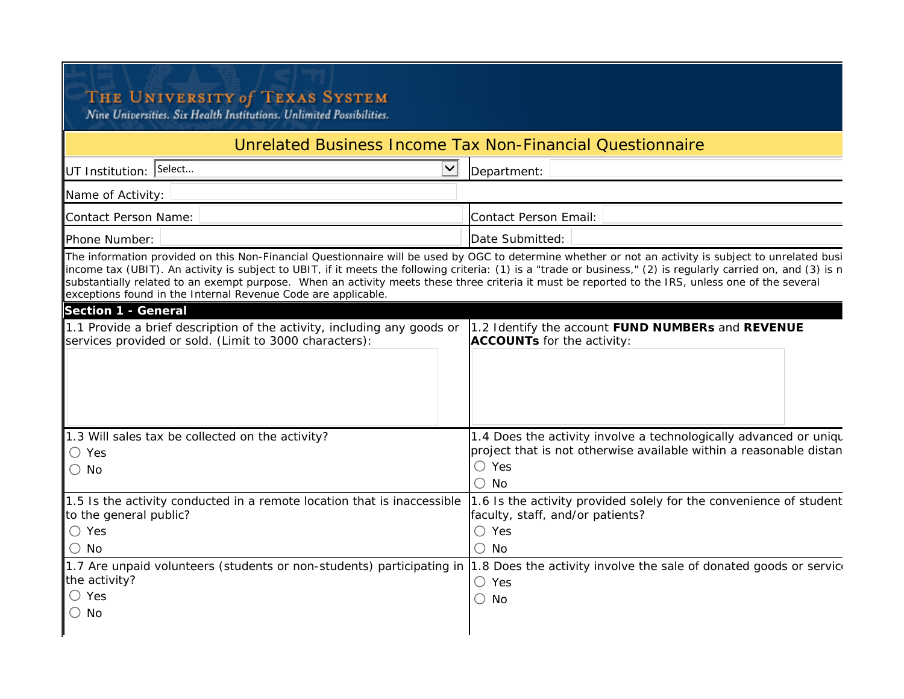## THE UNIVERSITY of TEXAS SYSTEM<br>Nine Universities. Six Health Institutions. Unlimited Possibilities.

## Unrelated Business Income Tax Non-Financial Questionnaire

| UT Institution: Select<br>$\checkmark$                                                                                                                                                                                                    | Department:                                                                                                                                                                                                                                                                                                             |
|-------------------------------------------------------------------------------------------------------------------------------------------------------------------------------------------------------------------------------------------|-------------------------------------------------------------------------------------------------------------------------------------------------------------------------------------------------------------------------------------------------------------------------------------------------------------------------|
| Name of Activity:                                                                                                                                                                                                                         |                                                                                                                                                                                                                                                                                                                         |
| Contact Person Name:                                                                                                                                                                                                                      | Contact Person Email:                                                                                                                                                                                                                                                                                                   |
| Phone Number:                                                                                                                                                                                                                             | Date Submitted:                                                                                                                                                                                                                                                                                                         |
| substantially related to an exempt purpose. When an activity meets these three criteria it must be reported to the IRS, unless one of the several<br>exceptions found in the Internal Revenue Code are applicable.<br>Section 1 - General | The information provided on this Non-Financial Questionnaire will be used by OGC to determine whether or not an activity is subject to unrelated busi<br>income tax (UBIT). An activity is subject to UBIT, if it meets the following criteria: (1) is a "trade or business," (2) is regularly carried on, and (3) is n |
| 1.1 Provide a brief description of the activity, including any goods or<br>services provided or sold. (Limit to 3000 characters):                                                                                                         | 1.2 Identify the account FUND NUMBERs and REVENUE<br>ACCOUNTs for the activity:                                                                                                                                                                                                                                         |
| 1.3 Will sales tax be collected on the activity?<br>$\bigcirc$ Yes<br>$\bigcirc$ No                                                                                                                                                       | 1.4 Does the activity involve a technologically advanced or unique<br>project that is not otherwise available within a reasonable distan<br>$\bigcirc$ Yes<br>$\bigcirc$ No                                                                                                                                             |
| 1.5 Is the activity conducted in a remote location that is inaccessible<br>to the general public?<br>$\bigcirc$ Yes<br>$\bigcirc$ No                                                                                                      | 1.6 Is the activity provided solely for the convenience of student<br>faculty, staff, and/or patients?<br>$\bigcirc$ Yes<br>$\bigcirc$ No                                                                                                                                                                               |
| the activity?<br>$\bigcirc$ Yes<br>No<br>$\bigcirc$                                                                                                                                                                                       | 1.7 Are unpaid volunteers (students or non-students) participating in  1.8 Does the activity involve the sale of donated goods or service<br>$\bigcirc$ Yes<br>$\bigcirc$ No                                                                                                                                            |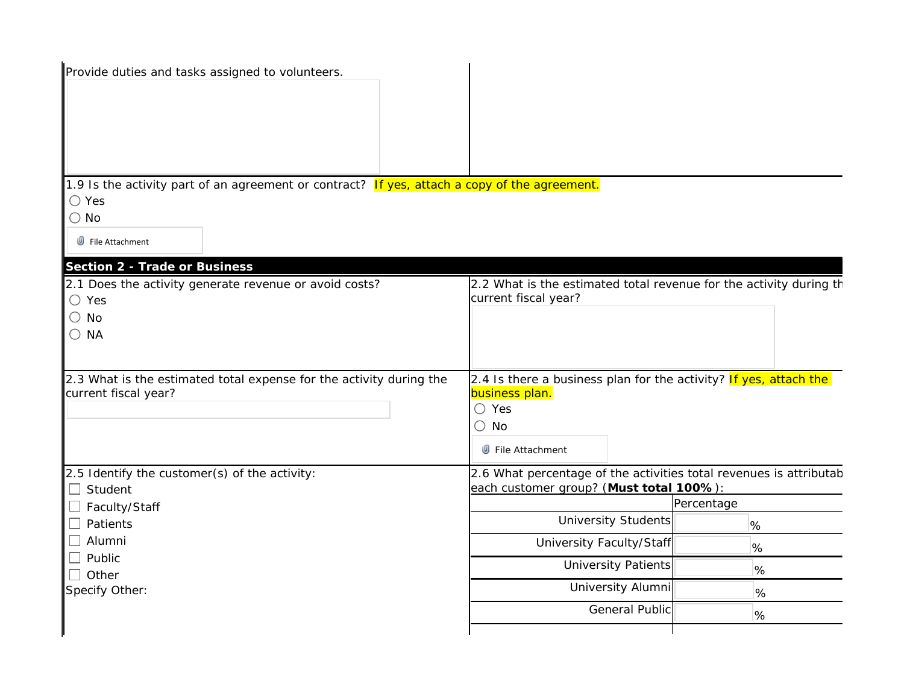| Provide duties and tasks assigned to volunteers.                                              |                                                                    |            |
|-----------------------------------------------------------------------------------------------|--------------------------------------------------------------------|------------|
|                                                                                               |                                                                    |            |
|                                                                                               |                                                                    |            |
|                                                                                               |                                                                    |            |
| 1.9 Is the activity part of an agreement or contract? If yes, attach a copy of the agreement. |                                                                    |            |
| $\bigcirc$ Yes<br>$\bigcirc$ No                                                               |                                                                    |            |
| $\mathbb{D}$ File Attachment                                                                  |                                                                    |            |
| Section 2 - Trade or Business                                                                 |                                                                    |            |
| 2.1 Does the activity generate revenue or avoid costs?                                        | 2.2 What is the estimated total revenue for the activity during th |            |
| $\bigcirc$ Yes                                                                                | current fiscal year?                                               |            |
| $\bigcirc$ No<br>$\bigcirc$ NA                                                                |                                                                    |            |
|                                                                                               |                                                                    |            |
| 2.3 What is the estimated total expense for the activity during the                           | 2.4 Is there a business plan for the activity? If yes, attach the  |            |
| current fiscal year?                                                                          | business plan.<br>$\bigcirc$ Yes                                   |            |
|                                                                                               | $\bigcirc$ No                                                      |            |
|                                                                                               | <b>U</b> File Attachment                                           |            |
| 2.5 Identify the customer(s) of the activity:                                                 | 2.6 What percentage of the activities total revenues is attributab |            |
| $\Box$ Student                                                                                | each customer group? (Must total 100%):                            | Percentage |
| $\Box$ Faculty/Staff<br>$\Box$ Patients                                                       | <b>University Students</b>                                         | %          |
| $\Box$ Alumni                                                                                 | University Faculty/Staff                                           |            |
| $\Box$ Public                                                                                 | <b>University Patients</b>                                         | %          |
| $\Box$ Other                                                                                  | University Alumni                                                  | %          |
| Specify Other:                                                                                |                                                                    | $\%$       |
|                                                                                               | <b>General Public</b>                                              | %          |
|                                                                                               |                                                                    |            |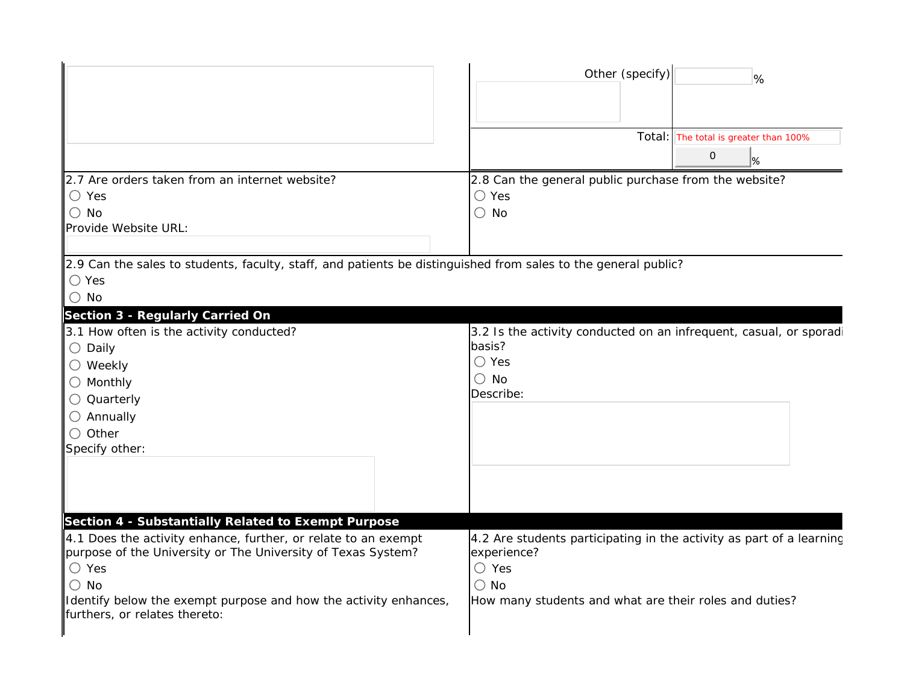|                                                                                                                                                                                                                                                                                                                               | Other (specify)<br>%                                                                                                                                                             |
|-------------------------------------------------------------------------------------------------------------------------------------------------------------------------------------------------------------------------------------------------------------------------------------------------------------------------------|----------------------------------------------------------------------------------------------------------------------------------------------------------------------------------|
|                                                                                                                                                                                                                                                                                                                               | Total: The total is greater than 100%<br>0<br>$\frac{9}{6}$                                                                                                                      |
| 2.7 Are orders taken from an internet website?<br>$\bigcirc$ Yes<br>$\bigcirc$ No<br>Provide Website URL:                                                                                                                                                                                                                     | 2.8 Can the general public purchase from the website?<br>$\bigcirc$ Yes<br>$\bigcirc$ No                                                                                         |
| 2.9 Can the sales to students, faculty, staff, and patients be distinguished from sales to the general public?<br>$\bigcirc$ Yes<br>$\bigcirc$ No                                                                                                                                                                             |                                                                                                                                                                                  |
| Section 3 - Regularly Carried On<br>3.1 How often is the activity conducted?<br>$\bigcirc$ Daily<br>$\bigcirc$ Weekly<br>$\bigcirc$ Monthly<br>○ Quarterly<br>$\bigcirc$ Annually<br>$\bigcirc$ Other<br>Specify other:                                                                                                       | 3.2 Is the activity conducted on an infrequent, casual, or sporadi<br>basis?<br>$\bigcirc$ Yes<br>$\bigcirc$ No<br>Describe:                                                     |
| Section 4 - Substantially Related to Exempt Purpose<br>4.1 Does the activity enhance, further, or relate to an exempt<br>purpose of the University or The University of Texas System?<br>$\bigcirc$ Yes<br>$\bigcirc$ No<br>Identify below the exempt purpose and how the activity enhances,<br>furthers, or relates thereto: | 4.2 Are students participating in the activity as part of a learning<br>experience?<br>$\bigcirc$ Yes<br>$\bigcirc$ No<br>How many students and what are their roles and duties? |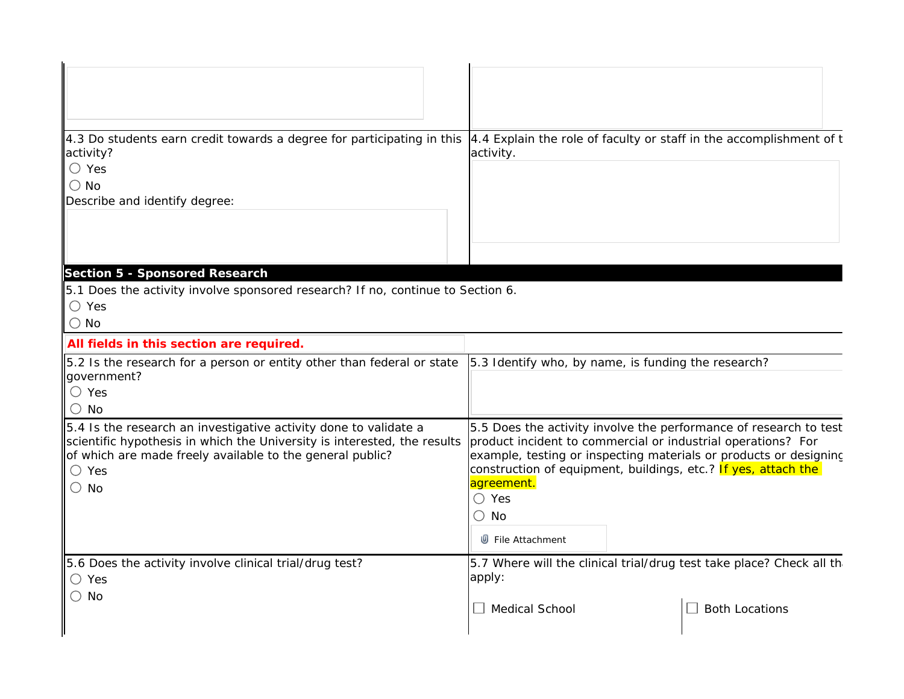| 4.3 Do students earn credit towards a degree for participating in this  4.4 Explain the role of faculty or staff in the accomplishment of t<br>activity?<br>$\bigcirc$ Yes<br>$\bigcirc$ No<br>Describe and identify degree:                 | activity.                                                                                                                                                                                                                                                                                                                                    |  |
|----------------------------------------------------------------------------------------------------------------------------------------------------------------------------------------------------------------------------------------------|----------------------------------------------------------------------------------------------------------------------------------------------------------------------------------------------------------------------------------------------------------------------------------------------------------------------------------------------|--|
|                                                                                                                                                                                                                                              |                                                                                                                                                                                                                                                                                                                                              |  |
| Section 5 - Sponsored Research<br>5.1 Does the activity involve sponsored research? If no, continue to Section 6.<br>$\bigcirc$ Yes<br>$\bigcirc$ No                                                                                         |                                                                                                                                                                                                                                                                                                                                              |  |
| All fields in this section are required.                                                                                                                                                                                                     |                                                                                                                                                                                                                                                                                                                                              |  |
| 5.2 Is the research for a person or entity other than federal or state<br>government?<br>$\bigcirc$ Yes<br>O.<br>No.                                                                                                                         | 5.3 Identify who, by name, is funding the research?                                                                                                                                                                                                                                                                                          |  |
| 5.4 Is the research an investigative activity done to validate a<br>scientific hypothesis in which the University is interested, the results<br>of which are made freely available to the general public?<br>$\bigcirc$ Yes<br>$\bigcirc$ No | 5.5 Does the activity involve the performance of research to test<br>product incident to commercial or industrial operations? For<br>example, testing or inspecting materials or products or designing<br>construction of equipment, buildings, etc.? If yes, attach the<br>agreement.<br>$\bigcirc$ Yes<br>$\bigcirc$ No<br>File Attachment |  |
| 5.6 Does the activity involve clinical trial/drug test?<br>$\bigcirc$ Yes<br>$\bigcirc$ No                                                                                                                                                   | 5.7 Where will the clinical trial/drug test take place? Check all th<br>apply:<br>$\Box$ Medical School<br><b>Both Locations</b>                                                                                                                                                                                                             |  |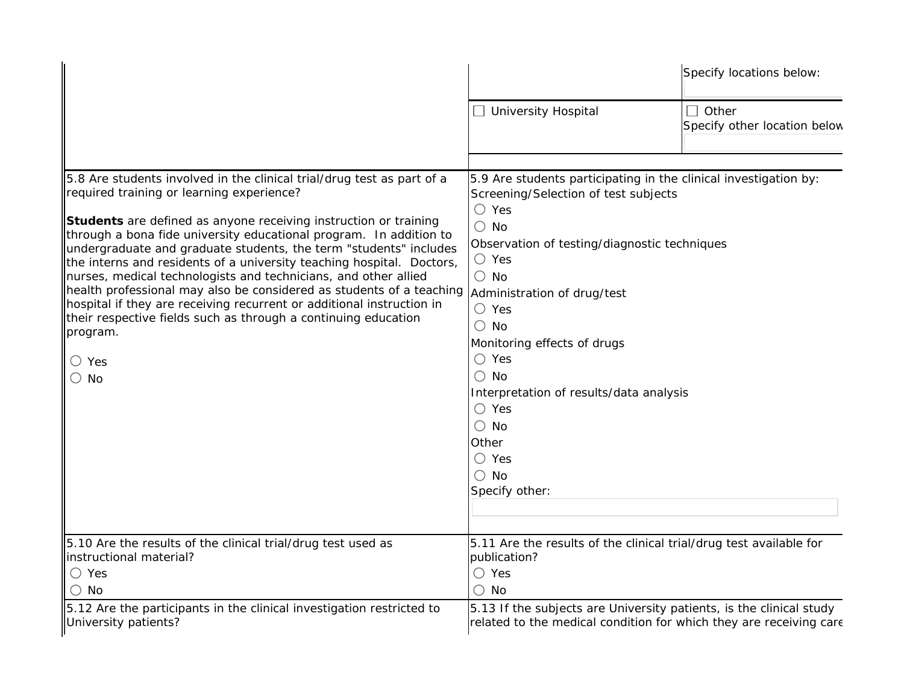|                                                                                                                                                                                                                                                                                                                                                                                                                                                                                                                                                                                                                                                                                                                                                         |                                                                                                                                                                                                                                                                                                                                                                                                                                                                                                                | Specify locations below:              |
|---------------------------------------------------------------------------------------------------------------------------------------------------------------------------------------------------------------------------------------------------------------------------------------------------------------------------------------------------------------------------------------------------------------------------------------------------------------------------------------------------------------------------------------------------------------------------------------------------------------------------------------------------------------------------------------------------------------------------------------------------------|----------------------------------------------------------------------------------------------------------------------------------------------------------------------------------------------------------------------------------------------------------------------------------------------------------------------------------------------------------------------------------------------------------------------------------------------------------------------------------------------------------------|---------------------------------------|
|                                                                                                                                                                                                                                                                                                                                                                                                                                                                                                                                                                                                                                                                                                                                                         | $\Box$ University Hospital                                                                                                                                                                                                                                                                                                                                                                                                                                                                                     | Other<br>Specify other location below |
| 5.8 Are students involved in the clinical trial/drug test as part of a<br>required training or learning experience?<br><b>Students</b> are defined as anyone receiving instruction or training<br>through a bona fide university educational program. In addition to<br>undergraduate and graduate students, the term "students" includes<br>the interns and residents of a university teaching hospital. Doctors,<br>nurses, medical technologists and technicians, and other allied<br>health professional may also be considered as students of a teaching<br>hospital if they are receiving recurrent or additional instruction in<br>their respective fields such as through a continuing education<br>program.<br>$\bigcirc$ Yes<br>$\bigcirc$ No | 5.9 Are students participating in the clinical investigation by:<br>Screening/Selection of test subjects<br>$\bigcirc$ Yes<br>$\bigcirc$ No<br>Observation of testing/diagnostic techniques<br>$\bigcirc$ Yes<br>$\bigcirc$ No<br>Administration of drug/test<br>$\bigcirc$ Yes<br>$\bigcirc$ No<br>Monitoring effects of drugs<br>$\bigcirc$ Yes<br>$\bigcirc$ No<br>Interpretation of results/data analysis<br>$\bigcirc$ Yes<br>$\bigcirc$ No<br>Other<br>$\bigcirc$ Yes<br>$\bigcirc$ No<br>Specify other: |                                       |
| 5.10 Are the results of the clinical trial/drug test used as<br>instructional material?<br>$\bigcirc$ Yes<br>$\bigcirc$ No                                                                                                                                                                                                                                                                                                                                                                                                                                                                                                                                                                                                                              | 5.11 Are the results of the clinical trial/drug test available for<br>publication?<br>$\bigcirc$ Yes<br>$\bigcirc$ No                                                                                                                                                                                                                                                                                                                                                                                          |                                       |
| 5.12 Are the participants in the clinical investigation restricted to<br>University patients?                                                                                                                                                                                                                                                                                                                                                                                                                                                                                                                                                                                                                                                           | 5.13 If the subjects are University patients, is the clinical study<br>related to the medical condition for which they are receiving care                                                                                                                                                                                                                                                                                                                                                                      |                                       |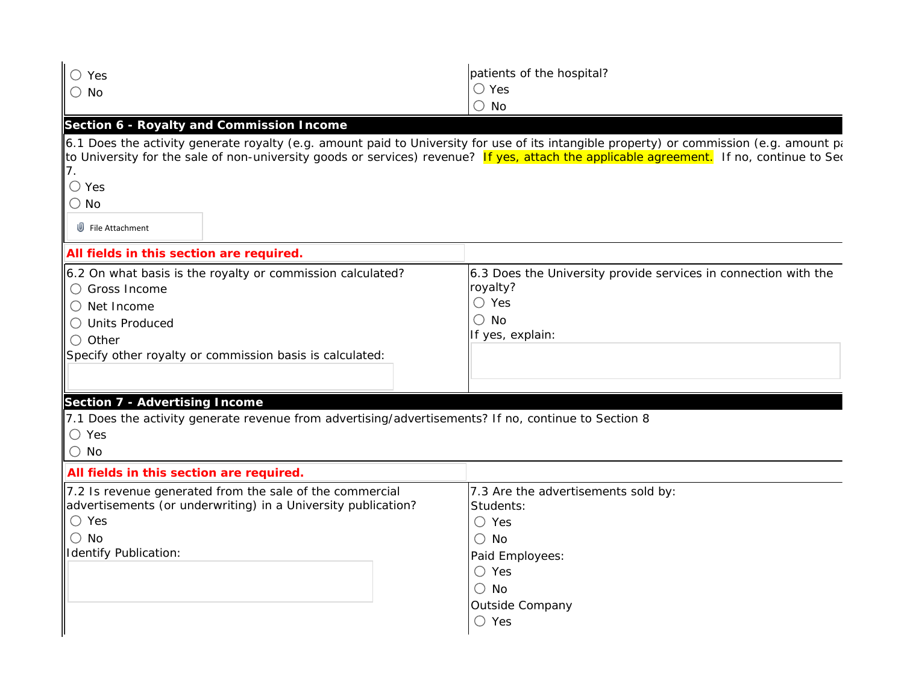| $\bigcirc$ Yes<br>$\bigcirc$ No                                                                                                                                                                                                                                                                                                                                                               | patients of the hospital?<br>$\bigcirc$ Yes<br>$\bigcirc$ No                                                                                                                   |
|-----------------------------------------------------------------------------------------------------------------------------------------------------------------------------------------------------------------------------------------------------------------------------------------------------------------------------------------------------------------------------------------------|--------------------------------------------------------------------------------------------------------------------------------------------------------------------------------|
| Section 6 - Royalty and Commission Income<br>6.1 Does the activity generate royalty (e.g. amount paid to University for use of its intangible property) or commission (e.g. amount pa<br>to University for the sale of non-university goods or services) revenue? If yes, attach the applicable agreement. If no, continue to Sec<br>7.<br>$\bigcirc$ Yes<br>$\bigcirc$ No<br>File Attachment |                                                                                                                                                                                |
| All fields in this section are required.<br>6.2 On what basis is the royalty or commission calculated?<br>○ Gross Income<br>$\bigcirc$ Net Income<br>◯ Units Produced<br>$\bigcirc$ Other<br>Specify other royalty or commission basis is calculated:                                                                                                                                         | 6.3 Does the University provide services in connection with the<br>royalty?<br>$\bigcirc$ Yes<br>$\bigcirc$ No<br>If yes, explain:                                             |
| Section 7 - Advertising Income<br>7.1 Does the activity generate revenue from advertising/advertisements? If no, continue to Section 8<br>$\bigcirc$ Yes<br>$\bigcirc$ No                                                                                                                                                                                                                     |                                                                                                                                                                                |
| All fields in this section are required.<br>7.2 Is revenue generated from the sale of the commercial<br>advertisements (or underwriting) in a University publication?<br>$\bigcirc$ Yes<br>$\bigcirc$ No<br>Identify Publication:                                                                                                                                                             | 7.3 Are the advertisements sold by:<br>Students:<br>$\bigcirc$ Yes<br>$\bigcirc$ No<br>Paid Employees:<br>$\bigcirc$ Yes<br>$\bigcirc$ No<br>Outside Company<br>$\bigcirc$ Yes |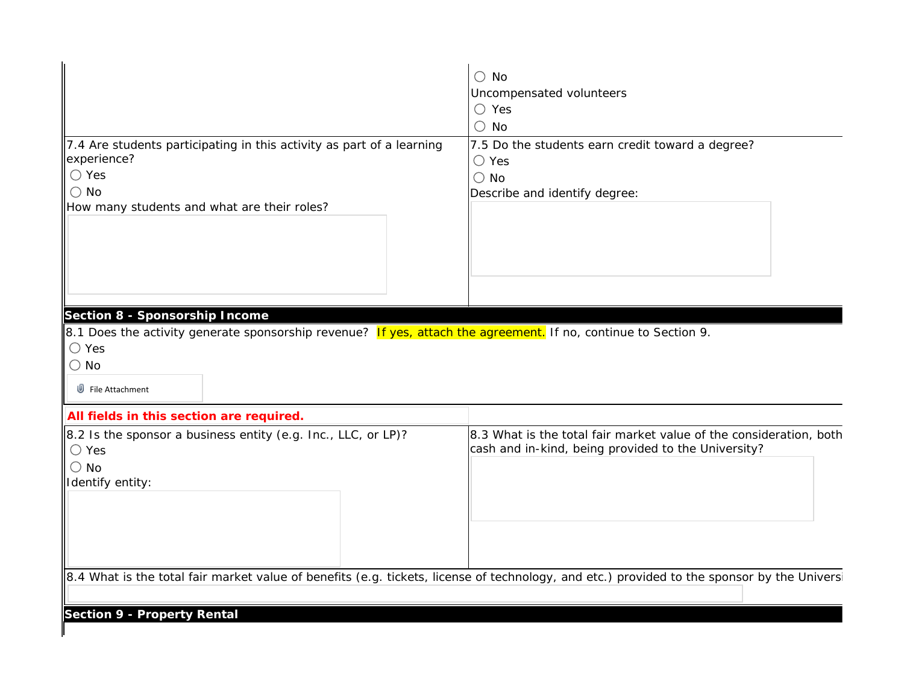|                                                                                                                                            | $\bigcirc$ No                                                      |
|--------------------------------------------------------------------------------------------------------------------------------------------|--------------------------------------------------------------------|
|                                                                                                                                            | Uncompensated volunteers                                           |
|                                                                                                                                            | $\bigcirc$ Yes                                                     |
|                                                                                                                                            | $\bigcirc$ No                                                      |
|                                                                                                                                            |                                                                    |
| 7.4 Are students participating in this activity as part of a learning                                                                      | 7.5 Do the students earn credit toward a degree?                   |
| experience?                                                                                                                                | $\bigcirc$ Yes                                                     |
| $\bigcirc$ Yes                                                                                                                             | $\bigcirc$ No                                                      |
| $\bigcirc$ No                                                                                                                              | Describe and identify degree:                                      |
| How many students and what are their roles?                                                                                                |                                                                    |
|                                                                                                                                            |                                                                    |
|                                                                                                                                            |                                                                    |
|                                                                                                                                            |                                                                    |
|                                                                                                                                            |                                                                    |
|                                                                                                                                            |                                                                    |
|                                                                                                                                            |                                                                    |
| Section 8 - Sponsorship Income                                                                                                             |                                                                    |
| 8.1 Does the activity generate sponsorship revenue? If yes, attach the agreement. If no, continue to Section 9.                            |                                                                    |
| $\bigcirc$ Yes                                                                                                                             |                                                                    |
| $\bigcirc$ No                                                                                                                              |                                                                    |
| File Attachment                                                                                                                            |                                                                    |
|                                                                                                                                            |                                                                    |
| All fields in this section are required.                                                                                                   |                                                                    |
| 8.2 Is the sponsor a business entity (e.g. Inc., LLC, or LP)?                                                                              | 8.3 What is the total fair market value of the consideration, both |
| $\bigcirc$ Yes                                                                                                                             | cash and in-kind, being provided to the University?                |
| $\bigcirc$ No                                                                                                                              |                                                                    |
| Identify entity:                                                                                                                           |                                                                    |
|                                                                                                                                            |                                                                    |
|                                                                                                                                            |                                                                    |
|                                                                                                                                            |                                                                    |
|                                                                                                                                            |                                                                    |
|                                                                                                                                            |                                                                    |
| 8.4 What is the total fair market value of benefits (e.g. tickets, license of technology, and etc.) provided to the sponsor by the Univers |                                                                    |
|                                                                                                                                            |                                                                    |
|                                                                                                                                            |                                                                    |
| Section 9 - Property Rental                                                                                                                |                                                                    |
|                                                                                                                                            |                                                                    |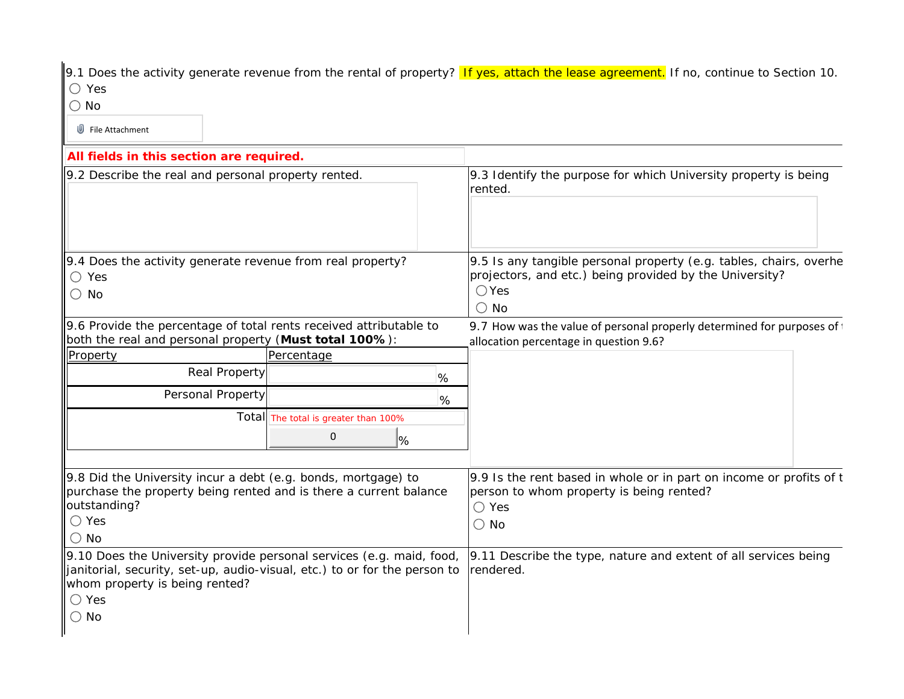9.1 Does the activity generate revenue from the rental of property? If yes, attach the lease agreement. If no, continue to Section 10. Yes

No

File Attachment

| All fields in this section are required.                                                                                                                                                                               |                                                     |                                                                                                                                                                  |
|------------------------------------------------------------------------------------------------------------------------------------------------------------------------------------------------------------------------|-----------------------------------------------------|------------------------------------------------------------------------------------------------------------------------------------------------------------------|
| 9.2 Describe the real and personal property rented.                                                                                                                                                                    |                                                     | 9.3 Identify the purpose for which University property is being<br>rented.                                                                                       |
| 9.4 Does the activity generate revenue from real property?<br>$\bigcirc$ Yes<br>$\bigcirc$ No                                                                                                                          |                                                     | 9.5 Is any tangible personal property (e.g. tables, chairs, overhe<br>projectors, and etc.) being provided by the University?<br>$\bigcirc$ Yes<br>$\bigcirc$ No |
| 9.6 Provide the percentage of total rents received attributable to<br>both the real and personal property (Must total 100%):                                                                                           |                                                     | 9.7 How was the value of personal properly determined for purposes of<br>allocation percentage in question 9.6?                                                  |
| Property                                                                                                                                                                                                               | Percentage                                          |                                                                                                                                                                  |
| Real Property                                                                                                                                                                                                          | %                                                   |                                                                                                                                                                  |
| Personal Property                                                                                                                                                                                                      | %                                                   |                                                                                                                                                                  |
|                                                                                                                                                                                                                        | Total The total is greater than 100%<br>$\mathbf 0$ |                                                                                                                                                                  |
|                                                                                                                                                                                                                        | %                                                   |                                                                                                                                                                  |
| 9.8 Did the University incur a debt (e.g. bonds, mortgage) to<br>purchase the property being rented and is there a current balance<br>outstanding?<br>$\bigcirc$ Yes<br>$\bigcirc$ No                                  |                                                     | 9.9 Is the rent based in whole or in part on income or profits of t<br>person to whom property is being rented?<br>$\bigcirc$ Yes<br>$\bigcirc$ No               |
| 9.10 Does the University provide personal services (e.g. maid, food,<br>janitorial, security, set-up, audio-visual, etc.) to or for the person to<br>whom property is being rented?<br>$\bigcirc$ Yes<br>$\bigcirc$ No |                                                     | 9.11 Describe the type, nature and extent of all services being<br>rendered.                                                                                     |
|                                                                                                                                                                                                                        |                                                     |                                                                                                                                                                  |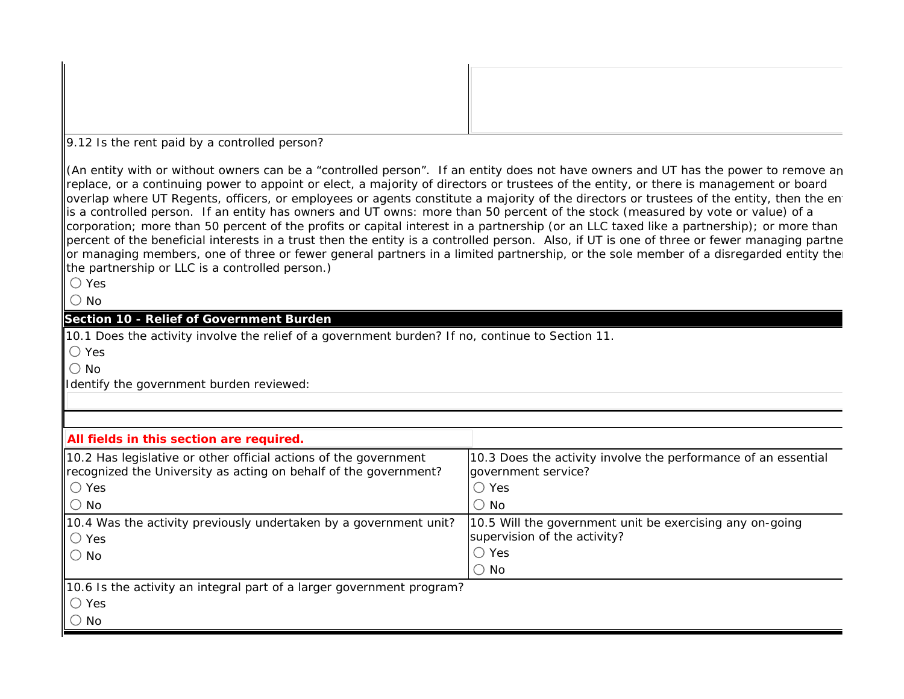9.12 Is the rent paid by a controlled person?

(An entity with or without owners can be a "controlled person". If an entity does not have owners and UT has the power to remove an replace, or a continuing power to appoint or elect, a majority of directors or trustees of the entity, or there is management or board overlap where UT Regents, officers, or employees or agents constitute a majority of the directors or trustees of the entity, then the entity lis a controlled person. If an entity has owners and UT owns: more than 50 percent of the stock (measured by vote or value) of a corporation; more than 50 percent of the profits or capital interest in a partnership (or an LLC taxed like a partnership); or more than percent of the beneficial interests in a trust then the entity is a controlled person. Also, if UT is one of three or fewer managing partne or managing members, one of three or fewer general partners in a limited partnership, or the sole member of a disregarded entity the the partnership or LLC is a controlled person.)

Yes

 $\bigcap$  No

## **Section 10 - Relief of Government Burden**

10.1 Does the activity involve the relief of a government burden? If no, continue to Section 11.

Yes

 $\bigcap$  No

Identify the government burden reviewed:

| All fields in this section are required.                                                                                                         |                                                                                                            |
|--------------------------------------------------------------------------------------------------------------------------------------------------|------------------------------------------------------------------------------------------------------------|
| $\parallel$ 10.2 Has legislative or other official actions of the government<br>recognized the University as acting on behalf of the government? | 10.3 Does the activity involve the performance of an essential<br>government service?                      |
| $\mathsf{I} \cup \mathsf{Yes}$                                                                                                                   | $\bigcirc$ Yes                                                                                             |
| $\mathsf{I} \bigcirc \mathsf{No}$                                                                                                                | $\bigcirc$ No                                                                                              |
| $\parallel$ 10.4 Was the activity previously undertaken by a government unit?<br>$\circ$ Yes<br>$\mathsf{I} \circ \mathsf{N}$ o                  | 10.5 Will the government unit be exercising any on-going<br>supervision of the activity?<br>$\bigcirc$ Yes |
|                                                                                                                                                  | $\circ$ No                                                                                                 |
| 10.6 Is the activity an integral part of a larger government program?                                                                            |                                                                                                            |
| $\mathsf{I} \cup \mathsf{Yes}$                                                                                                                   |                                                                                                            |
| $\mathsf{I} \bigcirc \mathsf{No}$                                                                                                                |                                                                                                            |